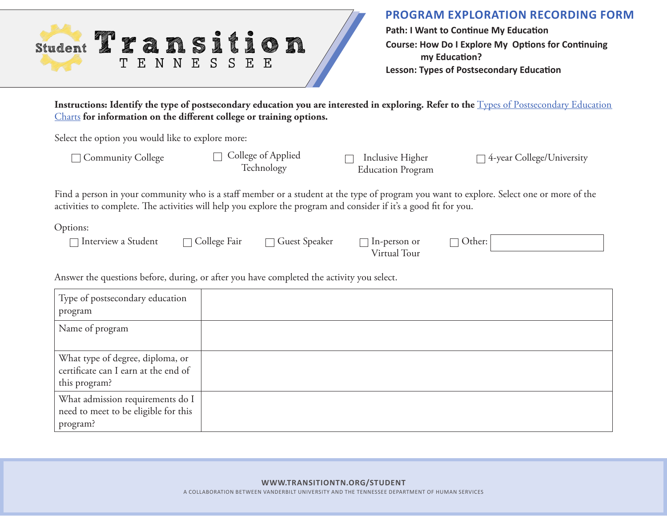| <b>Student</b> |    |    |   | <b>SAN DESCRIPTION</b> | <b>Contract de la contract de la contract de la contract de la contract de la contract de la contract de la contract de la contract de la contract de la contract de la contract de la contract de la contract de la contract de</b><br>$\sum_{i=1}^{\infty}$ | <b>September 1997</b> | <b>Contract Contract Contract</b> | <b>CONTRACTOR</b>    |   | Ø |  |
|----------------|----|----|---|------------------------|---------------------------------------------------------------------------------------------------------------------------------------------------------------------------------------------------------------------------------------------------------------|-----------------------|-----------------------------------|----------------------|---|---|--|
|                | Т. | н. | N | $\neg N$               | E S                                                                                                                                                                                                                                                           |                       | S                                 | $\mathbf{F}_{\cdot}$ | E |   |  |

**Path: I Want to Continue My Education Course: How Do I Explore My Options for Continuing my Education? Lesson: Types of Postsecondary Education**

Instructions: Identify the type of postsecondary education you are interested in exploring. Refer to the **Types of Postsecondary Education** [Charts](https://transitiontn.org/student/wp-content/uploads/2021/03/PSE_Types-of-PSE_PSE-Charts.pdf) **for information on the different college or training options.** 

Select the option you would like to explore more:

Technology

Inclusive Higher Education Program

□ Community College College of Applied <sub>□</sub> Inclusive Higher <sub>△year</sub> College/University

Find a person in your community who is a staff member or a student at the type of program you want to explore. Select one or more of the activities to complete. The activities will help you explore the program and consider if it's a good fit for you.

Options:

 $\Box$  College Fair  $\Box$  Guest Speaker  $\Box$  In-person or  $\Box$  Others  $\Box$  Guest Spea

| aker | $\Box$ In-person or |
|------|---------------------|
|      | Virtual Tour        |

| 1.<br><br>- 1 |  |
|---------------|--|
|---------------|--|

Answer the questions before, during, or after you have completed the activity you select.

| Type of postsecondary education<br>program                                                |  |
|-------------------------------------------------------------------------------------------|--|
| Name of program                                                                           |  |
| What type of degree, diploma, or<br>certificate can I earn at the end of<br>this program? |  |
| What admission requirements do I<br>need to meet to be eligible for this<br>program?      |  |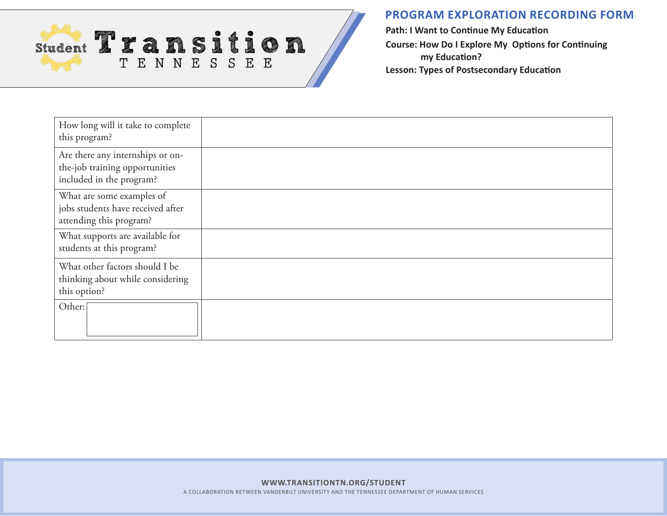

**PROGRAM EXPLORATION RECORDING FORM**

**Path: I Want to Continue My Education Course: How Do I Explore My Options for Continuing my Education? Lesson: Types of Postsecondary Education**

| How long will it take to complete<br>this program?                                             |  |
|------------------------------------------------------------------------------------------------|--|
| Are there any internships or on-<br>the-job training opportunities<br>included in the program? |  |
| What are some examples of<br>jobs students have received after<br>attending this program?      |  |
| What supports are available for<br>students at this program?                                   |  |
| What other factors should I be<br>thinking about while considering<br>this option?             |  |
| Other:                                                                                         |  |